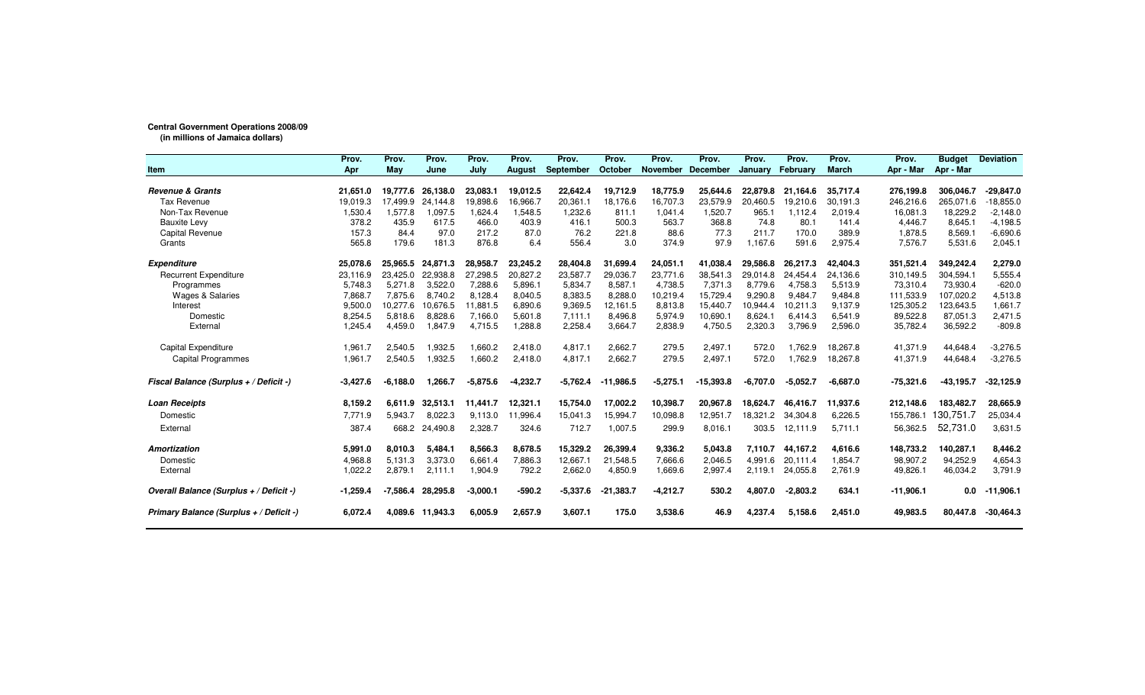## **Central Government Operations 2008/09**

**(in millions of Jamaica dollars)**

|                                         | Prov.      | Prov.      | Prov.    | Prov.      | Prov.         | Prov.            | Prov.       | Prov.      | Prov.           | Prov.          | Prov.      | Prov.        | Prov.       | <b>Budget</b> | <b>Deviation</b> |
|-----------------------------------------|------------|------------|----------|------------|---------------|------------------|-------------|------------|-----------------|----------------|------------|--------------|-------------|---------------|------------------|
| <b>Item</b>                             | Apr        | May        | June     | July       | <b>August</b> | <b>September</b> | October     | November   | <b>December</b> | <b>Januarv</b> | February   | <b>March</b> | Apr - Mar   | Apr - Mar     |                  |
| <b>Revenue &amp; Grants</b>             | 21,651.0   | 19.777.6   | 26,138.0 | 23,083.1   | 19,012.5      | 22,642.4         | 19,712.9    | 18,775.9   | 25,644.6        | 22,879.8       | 21,164.6   | 35,717.4     | 276,199.8   | 306,046.7     | $-29,847.0$      |
| <b>Tax Revenue</b>                      | 19,019.3   | 7,499.9    | 24,144.8 | 19,898.6   | 16,966.7      | 20,361.1         | 18,176.6    | 16,707.3   | 23,579.9        | 20,460.5       | 19,210.6   | 30,191.3     | 246,216.6   | 265,071.6     | $-18,855.0$      |
| Non-Tax Revenue                         | 1,530.4    | 1,577.8    | 1,097.5  | 1,624.4    | 1,548.5       | 1,232.6          | 811.1       | 1,041.4    | 1,520.7         | 965.1          | 1,112.4    | 2,019.4      | 16,081.3    | 18,229.2      | $-2,148.0$       |
| <b>Bauxite Levy</b>                     | 378.2      | 435.9      | 617.5    | 466.0      | 403.9         | 416.1            | 500.3       | 563.7      | 368.8           | 74.8           | 80.1       | 141.4        | 4,446.7     | 8,645.1       | $-4,198.5$       |
| Capital Revenue                         | 157.3      | 84.4       | 97.0     | 217.2      | 87.0          | 76.2             | 221.8       | 88.6       | 77.3            | 211.7          | 170.0      | 389.9        | 1,878.5     | 8,569.1       | $-6,690.6$       |
| Grants                                  | 565.8      | 179.6      | 181.3    | 876.8      | 6.4           | 556.4            | 3.0         | 374.9      | 97.9            | 1.167.6        | 591.6      | 2,975.4      | 7,576.7     | 5,531.6       | 2,045.1          |
| <b>Expenditure</b>                      | 25,078.6   | 25.965.5   | 24.871.3 | 28,958.7   | 23.245.2      | 28,404.8         | 31.699.4    | 24,051.1   | 41.038.4        | 29,586.8       | 26,217.3   | 42,404.3     | 351,521.4   | 349,242.4     | 2,279.0          |
| <b>Recurrent Expenditure</b>            | 23.116.9   | 23.425.0   | 22,938.8 | 27,298.5   | 20,827.2      | 23,587.7         | 29,036.7    | 23.771.6   | 38.541.3        | 29,014.8       | 24.454.4   | 24,136.6     | 310,149.5   | 304,594.1     | 5,555.4          |
| Programmes                              | 5.748.3    | 5,271.8    | 3.522.0  | 7.288.6    | 5,896.1       | 5,834.7          | 8,587.1     | 4,738.5    | 7.371.3         | 8.779.6        | 4.758.3    | 5,513.9      | 73,310.4    | 73,930.4      | $-620.0$         |
| <b>Wages &amp; Salaries</b>             | 7,868.7    | 7,875.6    | 8,740.2  | 8,128.4    | 8,040.5       | 8,383.5          | 8,288.0     | 10,219.4   | 15,729.4        | 9,290.8        | 9,484.7    | 9,484.8      | 111,533.9   | 107,020.2     | 4,513.8          |
| Interest                                | 9,500.0    | 10,277.6   | 10,676.5 | 11,881.5   | 6,890.6       | 9,369.5          | 12,161.5    | 8,813.8    | 15,440.7        | 10,944.4       | 10,211.3   | 9,137.9      | 125,305.2   | 123,643.5     | 1,661.7          |
| Domestic                                | 8,254.5    | 5,818.6    | 8,828.6  | 7,166.0    | 5,601.8       | 7,111.1          | 8,496.8     | 5,974.9    | 10,690.1        | 8,624.1        | 6.414.3    | 6,541.9      | 89,522.8    | 87,051.3      | 2,471.5          |
| External                                | 1,245.4    | 4,459.0    | 1,847.9  | 4,715.5    | 1,288.8       | 2,258.4          | 3,664.7     | 2,838.9    | 4,750.5         | 2,320.3        | 3,796.9    | 2,596.0      | 35,782.4    | 36,592.2      | $-809.8$         |
| <b>Capital Expenditure</b>              | 1,961.7    | 2,540.5    | 1,932.5  | 1,660.2    | 2.418.0       | 4,817.1          | 2,662.7     | 279.5      | 2,497.1         | 572.0          | 1,762.9    | 18,267.8     | 41,371.9    | 44,648.4      | $-3,276.5$       |
| <b>Capital Programmes</b>               | 1,961.7    | 2,540.5    | 1,932.5  | 1,660.2    | 2,418.0       | 4,817.1          | 2,662.7     | 279.5      | 2,497.1         | 572.0          | 1,762.9    | 18,267.8     | 41,371.9    | 44,648.4      | $-3,276.5$       |
| Fiscal Balance (Surplus + / Deficit -)  | $-3,427.6$ | $-6.188.0$ | 1.266.7  | $-5,875.6$ | $-4,232.7$    | $-5,762.4$       | $-11,986.5$ | $-5,275.1$ | $-15,393.8$     | $-6.707.0$     | $-5.052.7$ | $-6,687.0$   | $-75,321.6$ | $-43, 195.7$  | $-32,125.9$      |
| <b>Loan Receipts</b>                    | 8,159.2    | 6,611.9    | 32,513.1 | 11,441.7   | 12,321.1      | 15,754.0         | 17,002.2    | 10,398.7   | 20,967.8        | 18.624.7       | 46.416.7   | 11,937.6     | 212,148.6   | 183,482.7     | 28,665.9         |
| Domestic                                | 7.771.9    | 5,943.7    | 8.022.3  | 9,113.0    | 11,996.4      | 15,041.3         | 15,994.7    | 10,098.8   | 12,951.7        | 18,321.2       | 34,304.8   | 6,226.5      | 155,786.1   | 130,751.7     | 25,034.4         |
| External                                | 387.4      | 668.2      | 24,490.8 | 2,328.7    | 324.6         | 712.7            | 1,007.5     | 299.9      | 8,016.1         | 303.5          | 12,111.9   | 5,711.1      | 56,362.5    | 52,731.0      | 3,631.5          |
| <b>Amortization</b>                     | 5,991.0    | 8,010.3    | 5.484.1  | 8,566.3    | 8,678.5       | 15,329.2         | 26,399.4    | 9,336.2    | 5.043.8         | 7,110.7        | 44,167.2   | 4,616.6      | 148,733.2   | 140,287.1     | 8,446.2          |
| Domestic                                | 4,968.8    | 5,131.3    | 3,373.0  | 6,661.4    | 7,886.3       | 12,667.1         | 21,548.5    | 7.666.6    | 2,046.5         | 4,991.6        | 20,111.4   | 1,854.7      | 98,907.2    | 94,252.9      | 4,654.3          |
| External                                | 1,022.2    | 2,879.1    | 2,111.1  | 1,904.9    | 792.2         | 2,662.0          | 4,850.9     | 1,669.6    | 2,997.4         | 2,119.1        | 24,055.8   | 2,761.9      | 49,826.1    | 46,034.2      | 3,791.9          |
| Overall Balance (Surplus + / Deficit -) | $-1,259.4$ | .586.4     | 28.295.8 | $-3,000.1$ | $-590.2$      | $-5,337.6$       | $-21.383.7$ | $-4,212.7$ | 530.2           | 4.807.0        | $-2,803.2$ | 634.1        | $-11,906.1$ | 0.0           | $-11,906.1$      |
| Primary Balance (Surplus + / Deficit -) | 6,072.4    | 4,089.6    | 11,943.3 | 6,005.9    | 2,657.9       | 3,607.1          | 175.0       | 3,538.6    | 46.9            | 4,237.4        | 5,158.6    | 2,451.0      | 49,983.5    | 80.447.8      | $-30,464.3$      |